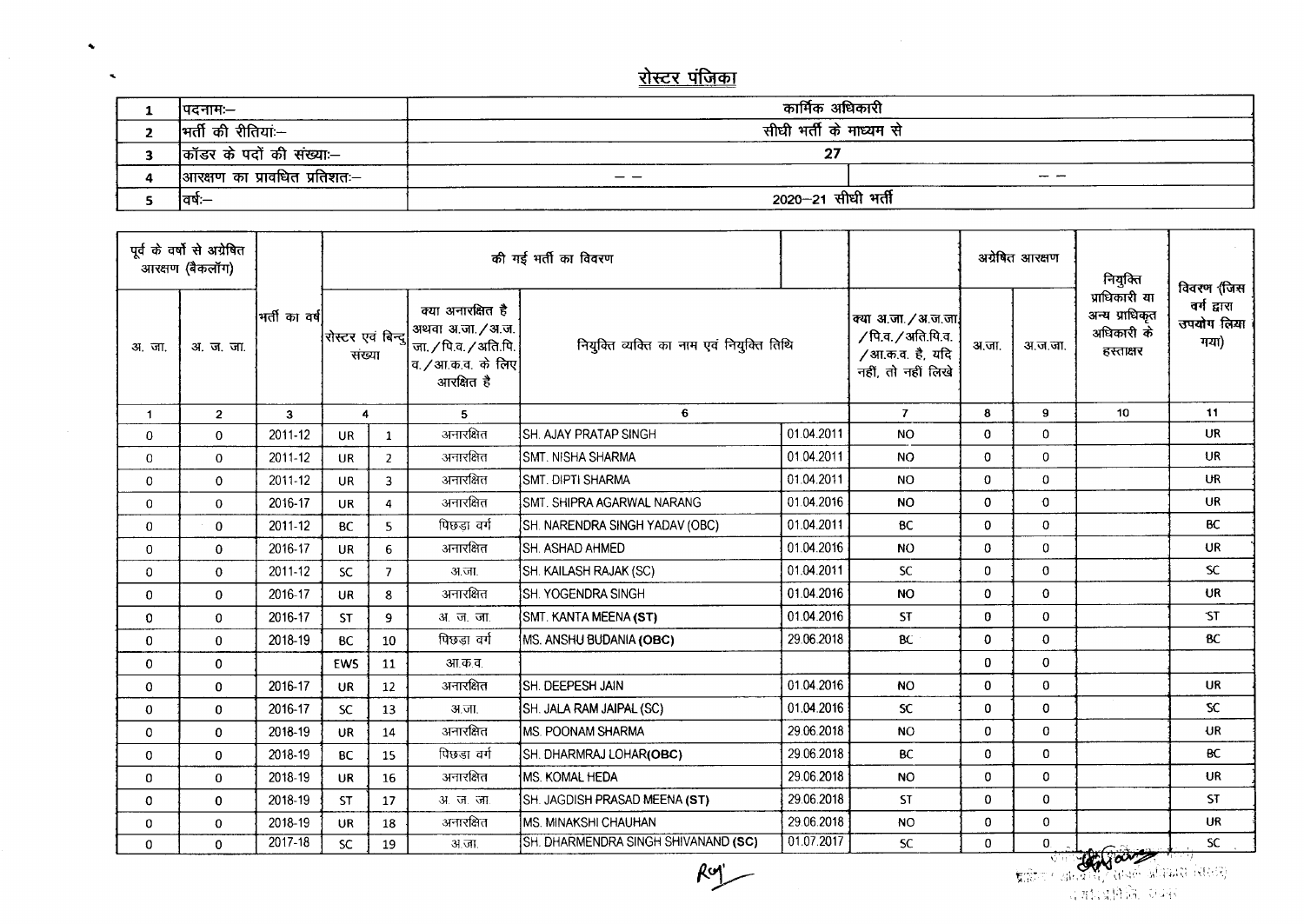## <u>रोस्टर पंजिका</u>

 $\spadesuit$ 

 $\tilde{\phantom{a}}$ 

| ।पदनामः—                     | कार्मिक अधिकारी         |  |  |  |  |  |  |
|------------------------------|-------------------------|--|--|--|--|--|--|
| †मर्ती की रीतियां≔           | सीधी भर्ती के माध्यम से |  |  |  |  |  |  |
| कॉडर के पदों की संख्या:—     | ີ<br>"                  |  |  |  |  |  |  |
| आरक्षण का प्रावधित प्रतिशतः— | $- - -$                 |  |  |  |  |  |  |
| ।वर्षः—                      | 2020-21 सीधी भर्ती      |  |  |  |  |  |  |

| पूर्व के वर्षों से अग्रेषित<br>आरक्षण (बैकलॉग) |                |               | की मई भर्ती का विवरण        |                         |                                                                                                    |                                           |            |                                                                                      | अग्रेषित आरक्षण |                | नियुक्ति                                                   | विवरण 'जिस                        |
|------------------------------------------------|----------------|---------------|-----------------------------|-------------------------|----------------------------------------------------------------------------------------------------|-------------------------------------------|------------|--------------------------------------------------------------------------------------|-----------------|----------------|------------------------------------------------------------|-----------------------------------|
| अ.जा.                                          | अ. ज. जा.      | भर्ती का वर्ष | रोस्टर एवं बिन्दू<br>संख्या |                         | क्या अनारक्षित है<br>अथवा अ.जा. / अ.ज.<br>जा. / पि.व. / अति.पि.<br>व. /आ.क.व. के लिए<br>आरक्षित है | नियुक्ति व्यक्ति का नाम एवं नियुक्ति तिथि |            | क्या अ.जा. / अ.ज.जा.<br>/ पि.व. / अति.यि.व.<br>/आ.क.व. है, यदि<br>नहीं, तो नहीं लिखे | अ.जा.           | अ.ज.जा.        | प्राधिकारी या<br>अन्य प्राधिकृत<br>अधिकारी के<br>हस्ताक्षर | वर्ग द्वारा<br>उपयोग लिया<br>गया) |
| $\mathbf{1}$                                   | $\overline{2}$ | 3             | $\overline{4}$              |                         | 5                                                                                                  | 6                                         |            | $\mathbf{7}$                                                                         | 8               | 9              | 10                                                         | 11                                |
| 0                                              | 0              | 2011-12       | <b>UR</b>                   | $\mathbf{1}$            | अनारक्षित                                                                                          | <b>SH. AJAY PRATAP SINGH</b>              | 01.04.2011 | <b>NO</b>                                                                            | $\mathbf 0$     | $\Omega$       |                                                            | <b>UR</b>                         |
| 0                                              | $\mathbf{0}$   | 2011-12       | <b>UR</b>                   | $\overline{2}$          | अनारक्षित                                                                                          | <b>SMT. NISHA SHARMA</b>                  | 01.04.2011 | <b>NO</b>                                                                            | $\mathbf 0$     | $\Omega$       |                                                            | UR                                |
| 0                                              | 0              | 2011-12       | <b>UR</b>                   | $\overline{3}$          | अनारक्षित                                                                                          | SMT. DIPTI SHARMA                         | 01.04.2011 | N <sub>O</sub>                                                                       | $\Omega$        | $\Omega$       |                                                            | UR                                |
| 0                                              | $\mathbf{0}$   | 2016-17       | <b>UR</b>                   | $\overline{\mathbf{4}}$ | अनारक्षित                                                                                          | SMT. SHIPRA AGARWAL NARANG                | 01.04.2016 | <b>NO</b>                                                                            | $\Omega$        | $\mathbf 0$    |                                                            | <b>UR</b>                         |
| 0                                              | 0              | 2011-12       | <b>BC</b>                   | 5.                      | पिछडा वर्ग                                                                                         | SH. NARENDRA SINGH YADAV (OBC)            | 01.04.2011 | <b>BC</b>                                                                            | $\mathbf 0$     | $\Omega$       |                                                            | <b>BC</b>                         |
| 0                                              | $\Omega$       | 2016-17       | <b>UR</b>                   | 6                       | अनारक्षित                                                                                          | <b>SH. ASHAD AHMED</b>                    | 01.04.2016 | <b>NO</b>                                                                            | $\mathbf{0}$    | 0              |                                                            | UR                                |
| 0                                              | $\mathbf 0$    | 2011-12       | <b>SC</b>                   | $\overline{7}$          | अ.जा.                                                                                              | SH. KAILASH RAJAK (SC)                    | 01.04.2011 | <b>SC</b>                                                                            | $\mathbf 0$     | 0              |                                                            | SC.                               |
| 0                                              | $\mathbf{0}$   | 2016-17       | <b>UR</b>                   | 8                       | अनारक्षित                                                                                          | <b>SH. YOGENDRA SINGH</b>                 | 01.04.2016 | <b>NO</b>                                                                            | 0               | $\mathbf{O}$   |                                                            | UR                                |
| 0                                              | $\mathbf 0$    | 2016-17       | <b>ST</b>                   | 9                       | <u>31. ज. जा.</u>                                                                                  | SMT. KANTA MEENA (ST)                     | 01.04.2016 | <b>ST</b>                                                                            | $\bf{0}$        | $\mathbf 0$    |                                                            | ST                                |
| 0                                              | $\mathbf{0}$   | 2018-19       | <b>BC</b>                   | 10                      | पिछड़ा वर्ग                                                                                        | MS. ANSHU BUDANIA (OBC)                   | 29.06.2018 | BC.                                                                                  | $\mathbf 0$     | $\mathbf 0$    |                                                            | <b>BC</b>                         |
| 0                                              | 0              |               | EWS                         | 11                      | आ.क.व.                                                                                             |                                           |            |                                                                                      | $\mathbf 0$     | $\mathbf{O}$   |                                                            |                                   |
| 0                                              | $\mathbf{0}$   | 2016-17       | <b>UR</b>                   | 12                      | अनारक्षित                                                                                          | <b>ISH. DEEPESH JAIN</b>                  | 01.04.2016 | <b>NO</b>                                                                            | $\mathbf 0$     | $\overline{0}$ |                                                            | <b>UR</b>                         |
| 0                                              | 0              | 2016-17       | <b>SC</b>                   | 13                      | अ.जा.                                                                                              | SH. JALA RAM JAIPAL (SC)                  | 01.04.2016 | <sub>SC</sub>                                                                        | $\mathbf 0$     | 0              |                                                            | SC                                |
| 0                                              | $\mathbf{0}$   | 2018-19       | <b>UR</b>                   | 14                      | अनारक्षित                                                                                          | <b>MS. POONAM SHARMA</b>                  | 29.06.2018 | <b>NO</b>                                                                            | $\mathbf 0$     | $\mathbf 0$    |                                                            | UR                                |
| 0                                              | 0              | 2018-19       | <b>BC</b>                   | 15                      | पिछड़ा वर्ग                                                                                        | SH. DHARMRAJ LOHAR(OBC)                   | 29.06.2018 | <b>BC</b>                                                                            | $\mathbf 0$     | 0              |                                                            | <b>BC</b>                         |
| 0                                              | 0              | 2018-19       | <b>UR</b>                   | 16                      | अनारक्षित                                                                                          | MS. KOMAL HEDA                            | 29.06.2018 | <b>NO</b>                                                                            | $\bf{0}$        | 0              |                                                            | <b>UR</b>                         |
| 0                                              | $\mathbf{0}$   | 2018-19       | <b>ST</b>                   | 17                      | <b>31. ज. जा.</b>                                                                                  | SH. JAGDISH PRASAD MEENA (ST)             | 29.06.2018 | <b>ST</b>                                                                            | $\mathbf 0$     | $\mathbf 0$    |                                                            | <b>ST</b>                         |
| 0                                              | $\Omega$       | 2018-19       | UR.                         | 18                      | अनारक्षित                                                                                          | MS. MINAKSHI CHAUHAN                      | 29.06.2018 | <b>NO</b>                                                                            | 0               | $\mathbf 0$    |                                                            | UR.                               |
| 0                                              | 0              | $2017 - 18$   | <b>SC</b>                   | 19                      | अ.जा.                                                                                              | SH. DHARMENDRA SINGH SHIVANAND (SC)       | 01.07.2017 | SC.                                                                                  | $\Omega$        | $\mathbf{0}$   | تنعت وتستكسف                                               | SC.                               |

 $Rg$ 

, .. \:""~''''''-''''' , '/ ,-\_ ,'" ,-r,'.:-;